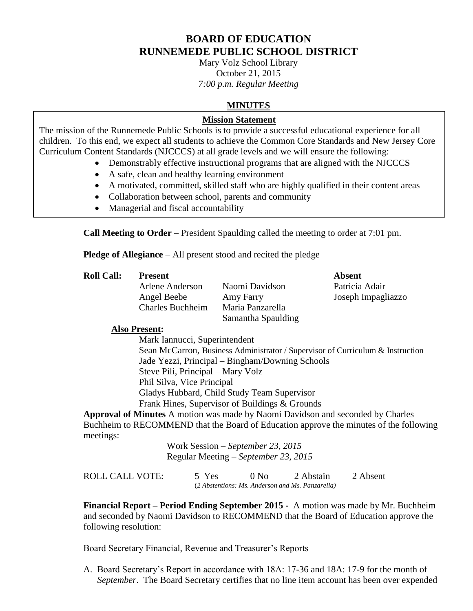## **BOARD OF EDUCATION RUNNEMEDE PUBLIC SCHOOL DISTRICT**

Mary Volz School Library October 21, 2015 *7:00 p.m. Regular Meeting*

## **MINUTES**

#### **Mission Statement**

The mission of the Runnemede Public Schools is to provide a successful educational experience for all children. To this end, we expect all students to achieve the Common Core Standards and New Jersey Core Curriculum Content Standards (NJCCCS) at all grade levels and we will ensure the following:

- Demonstrably effective instructional programs that are aligned with the NJCCCS
- A safe, clean and healthy learning environment
- A motivated, committed, skilled staff who are highly qualified in their content areas
- Collaboration between school, parents and community
- Managerial and fiscal accountability

**Call Meeting to Order –** President Spaulding called the meeting to order at 7:01 pm.

**Pledge of Allegiance** – All present stood and recited the pledge

**Roll Call: Present Absent**

Charles Buchheim Maria Panzarella

Arlene Anderson Naomi Davidson Patricia Adair Samantha Spaulding

Angel Beebe Amy Farry Joseph Impagliazzo

#### **Also Present:**

Mark Iannucci, Superintendent Sean McCarron, Business Administrator / Supervisor of Curriculum & Instruction Jade Yezzi, Principal – Bingham/Downing Schools Steve Pili, Principal – Mary Volz Phil Silva, Vice Principal Gladys Hubbard, Child Study Team Supervisor Frank Hines, Supervisor of Buildings & Grounds

**Approval of Minutes** A motion was made by Naomi Davidson and seconded by Charles Buchheim to RECOMMEND that the Board of Education approve the minutes of the following meetings:

> Work Session – *September 23, 2015* Regular Meeting – *September 23, 2015*

| <b>ROLL CALL VOTE:</b> | 5 Yes | $0$ No | 2 Abstain                                        | 2 Absent |
|------------------------|-------|--------|--------------------------------------------------|----------|
|                        |       |        | (2 Abstentions: Ms. Anderson and Ms. Panzarella) |          |

**Financial Report – Period Ending September 2015 -** A motion was made by Mr. Buchheim and seconded by Naomi Davidson to RECOMMEND that the Board of Education approve the following resolution:

Board Secretary Financial, Revenue and Treasurer's Reports

A. Board Secretary's Report in accordance with 18A: 17-36 and 18A: 17-9 for the month of *September*. The Board Secretary certifies that no line item account has been over expended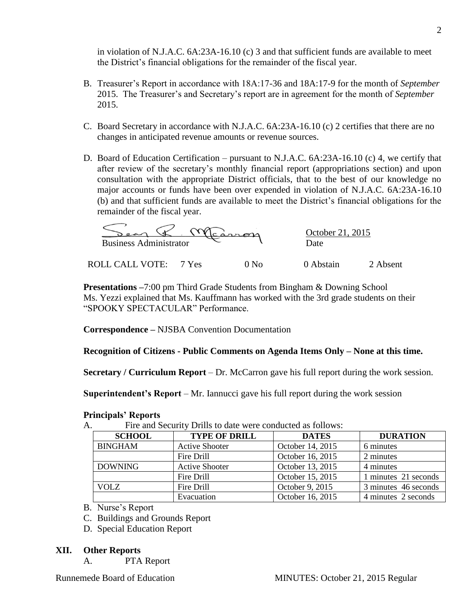in violation of N.J.A.C. 6A:23A-16.10 (c) 3 and that sufficient funds are available to meet the District's financial obligations for the remainder of the fiscal year.

- B. Treasurer's Report in accordance with 18A:17-36 and 18A:17-9 for the month of *September* 2015. The Treasurer's and Secretary's report are in agreement for the month of *September* 2015.
- C. Board Secretary in accordance with N.J.A.C. 6A:23A-16.10 (c) 2 certifies that there are no changes in anticipated revenue amounts or revenue sources.
- D. Board of Education Certification pursuant to N.J.A.C. 6A:23A-16.10 (c) 4, we certify that after review of the secretary's monthly financial report (appropriations section) and upon consultation with the appropriate District officials, that to the best of our knowledge no major accounts or funds have been over expended in violation of N.J.A.C. 6A:23A-16.10 (b) and that sufficient funds are available to meet the District's financial obligations for the remainder of the fiscal year.

 $\mathscr{R}$  Marron October 21, 2015 Business Administrator C

ROLL CALL VOTE: 7 Yes 0 No 0 Abstain 2 Absent

**Presentations –**7:00 pm Third Grade Students from Bingham & Downing School Ms. Yezzi explained that Ms. Kauffmann has worked with the 3rd grade students on their "SPOOKY SPECTACULAR" Performance.

**Correspondence –** NJSBA Convention Documentation

**Recognition of Citizens - Public Comments on Agenda Items Only – None at this time.**

**Secretary / Curriculum Report** – Dr. McCarron gave his full report during the work session.

**Superintendent's Report** – Mr. Iannucci gave his full report during the work session

| Fire and Security Drills to date were conducted as follows:<br>1. |                       |                  |                      |  |
|-------------------------------------------------------------------|-----------------------|------------------|----------------------|--|
| <b>SCHOOL</b>                                                     | <b>TYPE OF DRILL</b>  | <b>DATES</b>     | <b>DURATION</b>      |  |
| <b>BINGHAM</b>                                                    | <b>Active Shooter</b> | October 14, 2015 | 6 minutes            |  |
|                                                                   | Fire Drill            | October 16, 2015 | 2 minutes            |  |
| <b>DOWNING</b>                                                    | <b>Active Shooter</b> | October 13, 2015 | 4 minutes            |  |
|                                                                   | Fire Drill            | October 15, 2015 | 1 minutes 21 seconds |  |
| VOLZ                                                              | Fire Drill            | October 9, 2015  | 3 minutes 46 seconds |  |
|                                                                   | Evacuation            | October 16, 2015 | 4 minutes 2 seconds  |  |

# **Principals' Reports**

A. Fire and Security Drills to date were conducted as follows:

C. Buildings and Grounds Report

D. Special Education Report

### **XII. Other Reports**

A. PTA Report

B. Nurse's Report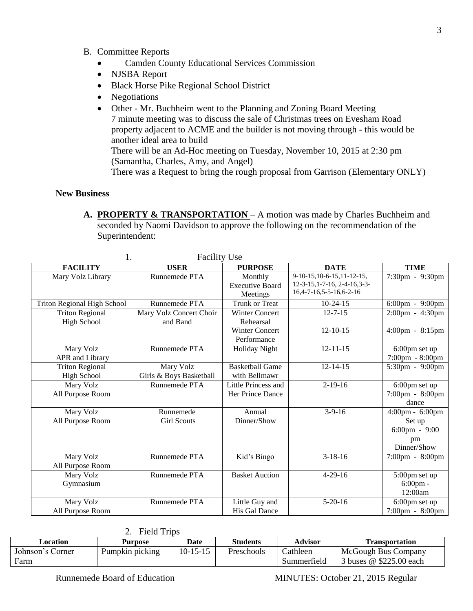- B. Committee Reports
	- Camden County Educational Services Commission
	- NJSBA Report
	- Black Horse Pike Regional School District
	- Negotiations
	- Other Mr. Buchheim went to the Planning and Zoning Board Meeting 7 minute meeting was to discuss the sale of Christmas trees on Evesham Road property adjacent to ACME and the builder is not moving through - this would be another ideal area to build

There will be an Ad-Hoc meeting on Tuesday, November 10, 2015 at 2:30 pm (Samantha, Charles, Amy, and Angel)

There was a Request to bring the rough proposal from Garrison (Elementary ONLY)

#### **New Business**

**A. PROPERTY & TRANSPORTATION** – A motion was made by Charles Buchheim and seconded by Naomi Davidson to approve the following on the recommendation of the Superintendent:

| <b>Facility Use</b>                |                         |                        |                                  |                         |
|------------------------------------|-------------------------|------------------------|----------------------------------|-------------------------|
| <b>FACILITY</b>                    | <b>USER</b>             | <b>PURPOSE</b>         | <b>DATE</b>                      | <b>TIME</b>             |
| Mary Volz Library                  | Runnemede PTA           | Monthly                | 9-10-15, 10-6-15, 11-12-15,      | 7:30pm - 9:30pm         |
|                                    |                         | <b>Executive Board</b> | $12-3-15$ , 1-7-16, 2-4-16, 3-3- |                         |
|                                    |                         | Meetings               | 16, 4-7-16, 5-5-16, 6-2-16       |                         |
| <b>Triton Regional High School</b> | Runnemede PTA           | <b>Trunk or Treat</b>  | $10-24-15$                       | 6:00pm - 9:00pm         |
| <b>Triton Regional</b>             | Mary Volz Concert Choir | <b>Winter Concert</b>  | $12 - 7 - 15$                    | 2:00pm - 4:30pm         |
| <b>High School</b>                 | and Band                | Rehearsal              |                                  |                         |
|                                    |                         | <b>Winter Concert</b>  | $12 - 10 - 15$                   | 4:00pm - 8:15pm         |
|                                    |                         | Performance            |                                  |                         |
| Mary Volz                          | Runnemede PTA           | <b>Holiday Night</b>   | $12 - 11 - 15$                   | 6:00pm set up           |
| APR and Library                    |                         |                        |                                  | 7:00pm - 8:00pm         |
| <b>Triton Regional</b>             | Mary Volz               | <b>Basketball Game</b> | $12 - 14 - 15$                   | 5:30pm - 9:00pm         |
| High School                        | Girls & Boys Basketball | with Bellmawr          |                                  |                         |
| Mary Volz                          | Runnemede PTA           | Little Princess and    | $2-19-16$                        | 6:00pm set up           |
| All Purpose Room                   |                         | Her Prince Dance       |                                  | 7:00pm - 8:00pm         |
|                                    |                         |                        |                                  | dance                   |
| Mary Volz                          | Runnemede               | Annual                 | $3-9-16$                         | 4:00pm - 6:00pm         |
| All Purpose Room                   | <b>Girl Scouts</b>      | Dinner/Show            |                                  | Set up                  |
|                                    |                         |                        |                                  | $6:00 \text{pm} - 9:00$ |
|                                    |                         |                        |                                  | pm                      |
|                                    |                         |                        |                                  | Dinner/Show             |
| Mary Volz                          | Runnemede PTA           | Kid's Bingo            | $3-18-16$                        | 7:00pm - 8:00pm         |
| All Purpose Room                   |                         |                        |                                  |                         |
| Mary Volz                          | Runnemede PTA           | <b>Basket Auction</b>  | $4 - 29 - 16$                    | 5:00pm set up           |
| Gymnasium                          |                         |                        |                                  | $6:00$ pm -             |
|                                    |                         |                        |                                  | 12:00am                 |
| Mary Volz                          | Runnemede PTA           | Little Guy and         | $5-20-16$                        | 6:00pm set up           |
| All Purpose Room                   |                         | His Gal Dance          |                                  | 7:00pm - 8:00pm         |

| ◠ | <b>Field Trips</b> |
|---|--------------------|
|   |                    |

|                  | ------------    |                |                 |                |                            |
|------------------|-----------------|----------------|-----------------|----------------|----------------------------|
| Location         | <b>Purpose</b>  | <b>Date</b>    | <b>Students</b> | <b>Advisor</b> | <b>Transportation</b>      |
| Johnson's Corner | Pumpkin picking | $10 - 15 - 15$ | Preschools      | Cathleen       | <b>McGough Bus Company</b> |
| Farm             |                 |                |                 | Summerfield    | 3 buses @ \$225.00 each    |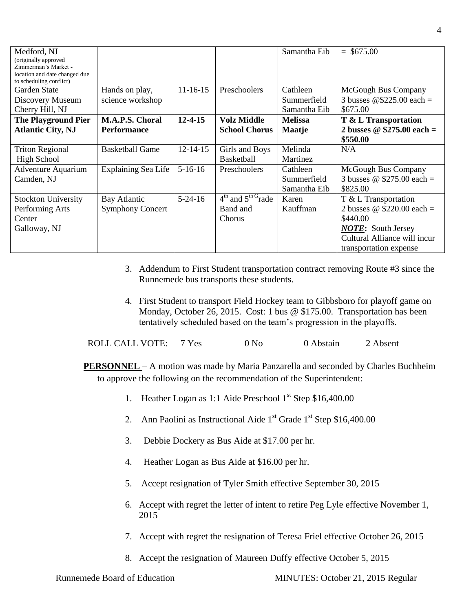| Medford, NJ                                  |                         |                |                        | Samantha Eib   | $=$ \$675.00                 |
|----------------------------------------------|-------------------------|----------------|------------------------|----------------|------------------------------|
| (originally approved<br>Zimmerman's Market - |                         |                |                        |                |                              |
| location and date changed due                |                         |                |                        |                |                              |
| to scheduling conflict)                      |                         |                |                        |                |                              |
| Garden State                                 | Hands on play,          | $11 - 16 - 15$ | Preschoolers           | Cathleen       | McGough Bus Company          |
| Discovery Museum                             | science workshop        |                |                        | Summerfield    | 3 busses $@$225.00 each =$   |
| Cherry Hill, NJ                              |                         |                |                        | Samantha Eib   | \$675.00                     |
| <b>The Playground Pier</b>                   | M.A.P.S. Choral         | $12 - 4 - 15$  | <b>Volz Middle</b>     | <b>Melissa</b> | T & L Transportation         |
| <b>Atlantic City, NJ</b>                     | <b>Performance</b>      |                | <b>School Chorus</b>   | Maatje         | 2 busses $@$275.00 each =$   |
|                                              |                         |                |                        |                | \$550.00                     |
| <b>Triton Regional</b>                       | <b>Basketball Game</b>  | $12 - 14 - 15$ | Girls and Boys         | Melinda        | N/A                          |
| <b>High School</b>                           |                         |                | <b>Basketball</b>      | Martinez       |                              |
| <b>Adventure Aquarium</b>                    | Explaining Sea Life     | $5-16-16$      | Preschoolers           | Cathleen       | McGough Bus Company          |
| Camden, NJ                                   |                         |                |                        | Summerfield    | 3 busses @ $$275.00$ each =  |
|                                              |                         |                |                        | Samantha Eib   | \$825.00                     |
| <b>Stockton University</b>                   | Bay Atlantic            | $5 - 24 - 16$  | $4th$ and $5th G$ rade | Karen          | T & L Transportation         |
| Performing Arts                              | <b>Symphony Concert</b> |                | Band and               | Kauffman       | 2 busses @ $$220.00$ each =  |
| Center                                       |                         |                | Chorus                 |                | \$440.00                     |
| Galloway, NJ                                 |                         |                |                        |                | <b>NOTE:</b> South Jersey    |
|                                              |                         |                |                        |                | Cultural Alliance will incur |
|                                              |                         |                |                        |                | transportation expense       |

- 3. Addendum to First Student transportation contract removing Route #3 since the Runnemede bus transports these students.
- 4. First Student to transport Field Hockey team to Gibbsboro for playoff game on Monday, October 26, 2015. Cost: 1 bus @ \$175.00. Transportation has been tentatively scheduled based on the team's progression in the playoffs.

ROLL CALL VOTE: 7 Yes 0 No 0 Abstain 2 Absent

**PERSONNEL** – A motion was made by Maria Panzarella and seconded by Charles Buchheim to approve the following on the recommendation of the Superintendent:

- 1. Heather Logan as 1:1 Aide Preschool  $1<sup>st</sup>$  Step \$16,400.00
- 2. Ann Paolini as Instructional Aide  $1<sup>st</sup>$  Grade  $1<sup>st</sup>$  Step \$16,400.00
- 3. Debbie Dockery as Bus Aide at \$17.00 per hr.
- 4. Heather Logan as Bus Aide at \$16.00 per hr.
- 5. Accept resignation of Tyler Smith effective September 30, 2015
- 6. Accept with regret the letter of intent to retire Peg Lyle effective November 1, 2015
- 7. Accept with regret the resignation of Teresa Friel effective October 26, 2015
- 8. Accept the resignation of Maureen Duffy effective October 5, 2015

Runnemede Board of Education MINUTES: October 21, 2015 Regular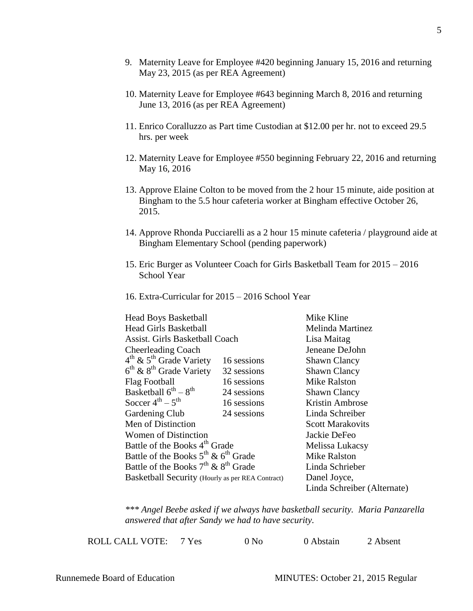- 9. Maternity Leave for Employee #420 beginning January 15, 2016 and returning May 23, 2015 (as per REA Agreement)
- 10. Maternity Leave for Employee #643 beginning March 8, 2016 and returning June 13, 2016 (as per REA Agreement)
- 11. Enrico Coralluzzo as Part time Custodian at \$12.00 per hr. not to exceed 29.5 hrs. per week
- 12. Maternity Leave for Employee #550 beginning February 22, 2016 and returning May 16, 2016
- 13. Approve Elaine Colton to be moved from the 2 hour 15 minute, aide position at Bingham to the 5.5 hour cafeteria worker at Bingham effective October 26, 2015.
- 14. Approve Rhonda Pucciarelli as a 2 hour 15 minute cafeteria / playground aide at Bingham Elementary School (pending paperwork)
- 15. Eric Burger as Volunteer Coach for Girls Basketball Team for 2015 2016 School Year
- 16. Extra-Curricular for 2015 2016 School Year

|                                                  |             | Mike Kline                  |
|--------------------------------------------------|-------------|-----------------------------|
| <b>Head Boys Basketball</b>                      |             |                             |
| <b>Head Girls Basketball</b>                     |             | Melinda Martinez            |
| Assist. Girls Basketball Coach                   |             | Lisa Maitag                 |
| <b>Cheerleading Coach</b>                        |             | Jeneane DeJohn              |
| $4th$ & $5th$ Grade Variety                      | 16 sessions | <b>Shawn Clancy</b>         |
| $6th$ & $8th$ Grade Variety                      | 32 sessions | <b>Shawn Clancy</b>         |
| Flag Football                                    | 16 sessions | <b>Mike Ralston</b>         |
| Basketball $6^{th} - 8^{th}$                     | 24 sessions | <b>Shawn Clancy</b>         |
| Soccer $4^{th}$ – $5^{th}$                       | 16 sessions | Kristin Ambrose             |
| Gardening Club                                   | 24 sessions | Linda Schreiber             |
| Men of Distinction                               |             | <b>Scott Marakovits</b>     |
| Women of Distinction                             |             | Jackie DeFeo                |
| Battle of the Books 4 <sup>th</sup> Grade        |             | Melissa Lukacsy             |
| Battle of the Books $5^{th}$ & $6^{th}$ Grade    |             | Mike Ralston                |
| Battle of the Books $7th$ & $8th$ Grade          |             | Linda Schrieber             |
| Basketball Security (Hourly as per REA Contract) |             | Danel Joyce,                |
|                                                  |             | Linda Schreiber (Alternate) |

*\*\*\* Angel Beebe asked if we always have basketball security. Maria Panzarella answered that after Sandy we had to have security.* 

 $\Omega_{\text{N}}$  and  $\Omega_{\text{N}}$  are  $\Omega_{\text{N}}$  as  $\Omega_{\text{N}}$  and  $\Omega_{\text{N}}$  are  $\Omega_{\text{N}}$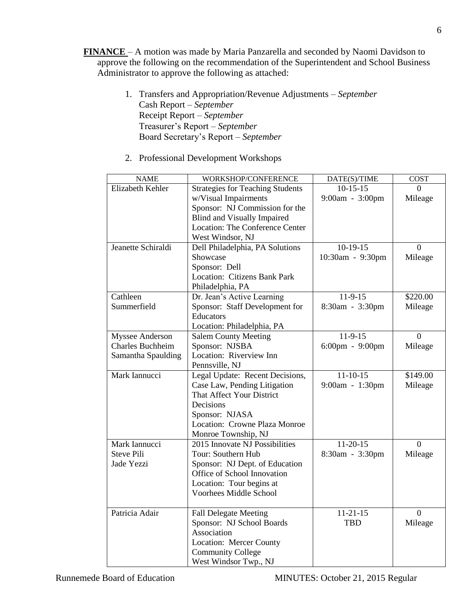- **FINANCE**  A motion was made by Maria Panzarella and seconded by Naomi Davidson to approve the following on the recommendation of the Superintendent and School Business Administrator to approve the following as attached:
	- 1. Transfers and Appropriation/Revenue Adjustments *September* Cash Report – *September* Receipt Report – *September* Treasurer's Report – *September* Board Secretary's Report – *September*
	- 2. Professional Development Workshops

| <b>NAME</b>        | WORKSHOP/CONFERENCE                     | DATE(S)/TIME                      | <b>COST</b>    |
|--------------------|-----------------------------------------|-----------------------------------|----------------|
| Elizabeth Kehler   | <b>Strategies for Teaching Students</b> | $10-15-15$                        | 0              |
|                    | w/Visual Impairments                    | 9:00am - 3:00pm                   | Mileage        |
|                    | Sponsor: NJ Commission for the          |                                   |                |
|                    | <b>Blind and Visually Impaired</b>      |                                   |                |
|                    | <b>Location: The Conference Center</b>  |                                   |                |
|                    | West Windsor, NJ                        |                                   |                |
| Jeanette Schiraldi | Dell Philadelphia, PA Solutions         | $10-19-15$                        | $\overline{0}$ |
|                    | Showcase                                | 10:30am - 9:30pm                  | Mileage        |
|                    | Sponsor: Dell                           |                                   |                |
|                    | <b>Location: Citizens Bank Park</b>     |                                   |                |
|                    | Philadelphia, PA                        |                                   |                |
| Cathleen           | Dr. Jean's Active Learning              | $11-9-15$                         | \$220.00       |
| Summerfield        | Sponsor: Staff Development for          | 8:30am - 3:30pm                   | Mileage        |
|                    | <b>Educators</b>                        |                                   |                |
|                    | Location: Philadelphia, PA              |                                   |                |
| Myssee Anderson    | <b>Salem County Meeting</b>             | $11-9-15$                         | $\Omega$       |
| Charles Buchheim   | Sponsor: NJSBA                          | $6:00 \text{pm} - 9:00 \text{pm}$ | Mileage        |
| Samantha Spaulding | Location: Riverview Inn                 |                                   |                |
|                    | Pennsville, NJ                          |                                   |                |
| Mark Iannucci      | Legal Update: Recent Decisions,         | $11-10-15$                        | \$149.00       |
|                    | Case Law, Pending Litigation            | 9:00am - 1:30pm                   | Mileage        |
|                    | That Affect Your District               |                                   |                |
|                    | Decisions                               |                                   |                |
|                    | Sponsor: NJASA                          |                                   |                |
|                    | Location: Crowne Plaza Monroe           |                                   |                |
|                    | Monroe Township, NJ                     |                                   |                |
| Mark Iannucci      | 2015 Innovate NJ Possibilities          | $11-20-15$                        | $\theta$       |
| <b>Steve Pili</b>  | Tour: Southern Hub                      | 8:30am - 3:30pm                   | Mileage        |
| Jade Yezzi         | Sponsor: NJ Dept. of Education          |                                   |                |
|                    | Office of School Innovation             |                                   |                |
|                    | Location: Tour begins at                |                                   |                |
|                    | <b>Voorhees Middle School</b>           |                                   |                |
|                    |                                         |                                   |                |
| Patricia Adair     | <b>Fall Delegate Meeting</b>            | $11-21-15$                        | $\theta$       |
|                    | Sponsor: NJ School Boards               | <b>TBD</b>                        | Mileage        |
|                    | Association                             |                                   |                |
|                    | Location: Mercer County                 |                                   |                |
|                    | <b>Community College</b>                |                                   |                |
|                    | West Windsor Twp., NJ                   |                                   |                |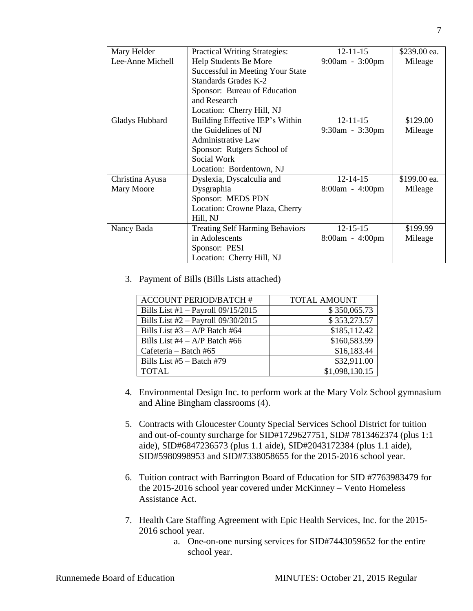| Mary Helder      | <b>Practical Writing Strategies:</b>   | $12 - 11 - 15$        | \$239.00 ea. |
|------------------|----------------------------------------|-----------------------|--------------|
| Lee-Anne Michell | Help Students Be More                  | 9:00am - 3:00pm       | Mileage      |
|                  | Successful in Meeting Your State       |                       |              |
|                  | Standards Grades K-2                   |                       |              |
|                  | Sponsor: Bureau of Education           |                       |              |
|                  | and Research                           |                       |              |
|                  | Location: Cherry Hill, NJ              |                       |              |
| Gladys Hubbard   | Building Effective IEP's Within        | $12 - 11 - 15$        | \$129.00     |
|                  | the Guidelines of NJ                   | $9:30$ am - $3:30$ pm | Mileage      |
|                  | <b>Administrative Law</b>              |                       |              |
|                  | Sponsor: Rutgers School of             |                       |              |
|                  | Social Work                            |                       |              |
|                  | Location: Bordentown, NJ               |                       |              |
| Christina Ayusa  | Dyslexia, Dyscalculia and              | $12 - 14 - 15$        | \$199.00 ea. |
| Mary Moore       | Dysgraphia                             | 8:00am - 4:00pm       | Mileage      |
|                  | Sponsor: MEDS PDN                      |                       |              |
|                  | Location: Crowne Plaza, Cherry         |                       |              |
|                  | Hill, NJ                               |                       |              |
| Nancy Bada       | <b>Treating Self Harming Behaviors</b> | $12 - 15 - 15$        | \$199.99     |
|                  | in Adolescents                         | $8:00am - 4:00pm$     | Mileage      |
|                  | Sponsor: PESI                          |                       |              |
|                  | Location: Cherry Hill, NJ              |                       |              |

3. Payment of Bills (Bills Lists attached)

| <b>ACCOUNT PERIOD/BATCH#</b>         | <b>TOTAL AMOUNT</b> |
|--------------------------------------|---------------------|
| Bills List #1 $-$ Payroll 09/15/2015 | \$350,065.73        |
| Bills List #2 - Payroll 09/30/2015   | \$353,273.57        |
| Bills List #3 $- A/P$ Batch #64      | \$185,112.42        |
| Bills List $#4 - A/P$ Batch $#66$    | \$160,583.99        |
| Cafeteria – Batch #65                | \$16,183.44         |
| Bills List $#5 -$ Batch $#79$        | \$32,911.00         |
| <b>TOTAL</b>                         | \$1,098,130.15      |

- 4. Environmental Design Inc. to perform work at the Mary Volz School gymnasium and Aline Bingham classrooms (4).
- 5. Contracts with Gloucester County Special Services School District for tuition and out-of-county surcharge for SID#1729627751, SID# 7813462374 (plus 1:1 aide), SID#6847236573 (plus 1.1 aide), SID#2043172384 (plus 1.1 aide), SID#5980998953 and SID#7338058655 for the 2015-2016 school year.
- 6. Tuition contract with Barrington Board of Education for SID #7763983479 for the 2015-2016 school year covered under McKinney – Vento Homeless Assistance Act.
- 7. Health Care Staffing Agreement with Epic Health Services, Inc. for the 2015- 2016 school year.
	- a. One-on-one nursing services for SID#7443059652 for the entire school year.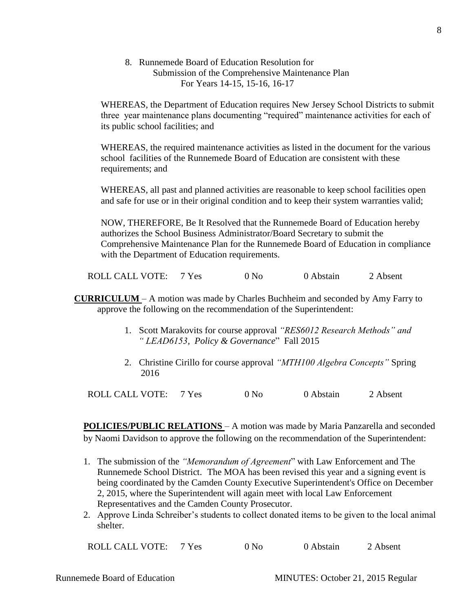8. Runnemede Board of Education Resolution for Submission of the Comprehensive Maintenance Plan For Years 14-15, 15-16, 16-17

WHEREAS, the Department of Education requires New Jersey School Districts to submit three year maintenance plans documenting "required" maintenance activities for each of its public school facilities; and

WHEREAS, the required maintenance activities as listed in the document for the various school facilities of the Runnemede Board of Education are consistent with these requirements; and

WHEREAS, all past and planned activities are reasonable to keep school facilities open and safe for use or in their original condition and to keep their system warranties valid;

NOW, THEREFORE, Be It Resolved that the Runnemede Board of Education hereby authorizes the School Business Administrator/Board Secretary to submit the Comprehensive Maintenance Plan for the Runnemede Board of Education in compliance with the Department of Education requirements.

ROLL CALL VOTE: 7 Yes 0 No 0 Abstain 2 Absent

- **CURRICULUM**  A motion was made by Charles Buchheim and seconded by Amy Farry to approve the following on the recommendation of the Superintendent:
	- 1. Scott Marakovits for course approval *"RES6012 Research Methods" and " LEAD6153, Policy & Governance*" Fall 2015
	- 2. Christine Cirillo for course approval *"MTH100 Algebra Concepts"* Spring 2016

ROLL CALL VOTE: 7 Yes 0 No 0 Abstain 2 Absent

**POLICIES/PUBLIC RELATIONS** – A motion was made by Maria Panzarella and seconded by Naomi Davidson to approve the following on the recommendation of the Superintendent:

- 1. The submission of the *"Memorandum of Agreement*" with Law Enforcement and The Runnemede School District. The MOA has been revised this year and a signing event is being coordinated by the Camden County Executive Superintendent's Office on December 2, 2015, where the Superintendent will again meet with local Law Enforcement Representatives and the Camden County Prosecutor.
- 2. Approve Linda Schreiber's students to collect donated items to be given to the local animal shelter.

ROLL CALL VOTE: 7 Yes 0 No 0 Abstain 2 Absent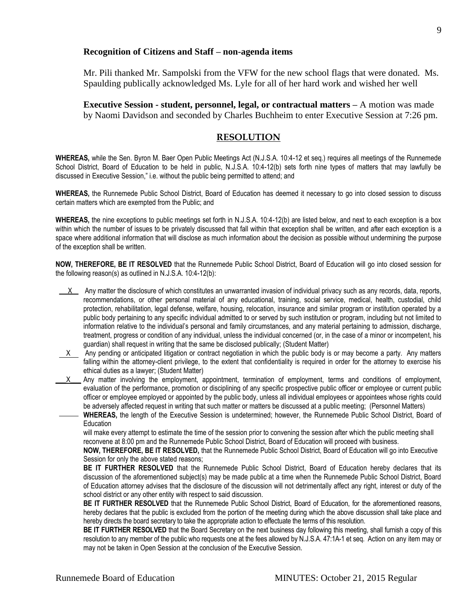#### **Recognition of Citizens and Staff – non-agenda items**

Mr. Pili thanked Mr. Sampolski from the VFW for the new school flags that were donated. Ms. Spaulding publically acknowledged Ms. Lyle for all of her hard work and wished her well

**Executive Session - student, personnel, legal, or contractual matters –** A motion was made by Naomi Davidson and seconded by Charles Buchheim to enter Executive Session at 7:26 pm.

#### **RESOLUTION**

**WHEREAS,** while the Sen. Byron M. Baer Open Public Meetings Act (N.J.S.A. 10:4-12 et seq.) requires all meetings of the Runnemede School District, Board of Education to be held in public, N.J.S.A. 10:4-12(b) sets forth nine types of matters that may lawfully be discussed in Executive Session," i.e. without the public being permitted to attend; and

**WHEREAS,** the Runnemede Public School District, Board of Education has deemed it necessary to go into closed session to discuss certain matters which are exempted from the Public; and

**WHEREAS,** the nine exceptions to public meetings set forth in N.J.S.A. 10:4-12(b) are listed below, and next to each exception is a box within which the number of issues to be privately discussed that fall within that exception shall be written, and after each exception is a space where additional information that will disclose as much information about the decision as possible without undermining the purpose of the exception shall be written.

**NOW, THEREFORE, BE IT RESOLVED** that the Runnemede Public School District, Board of Education will go into closed session for the following reason(s) as outlined in N.J.S.A. 10:4-12(b):

- $X$  Any matter the disclosure of which constitutes an unwarranted invasion of individual privacy such as any records, data, reports, recommendations, or other personal material of any educational, training, social service, medical, health, custodial, child protection, rehabilitation, legal defense, welfare, housing, relocation, insurance and similar program or institution operated by a public body pertaining to any specific individual admitted to or served by such institution or program, including but not limited to information relative to the individual's personal and family circumstances, and any material pertaining to admission, discharge, treatment, progress or condition of any individual, unless the individual concerned (or, in the case of a minor or incompetent, his guardian) shall request in writing that the same be disclosed publically; (Student Matter)
- $X$  Any pending or anticipated litigation or contract negotiation in which the public body is or may become a party. Any matters falling within the attorney-client privilege, to the extent that confidentiality is required in order for the attorney to exercise his ethical duties as a lawyer; (Student Matter)
- $X$  Any matter involving the employment, appointment, termination of employment, terms and conditions of employment, evaluation of the performance, promotion or disciplining of any specific prospective public officer or employee or current public officer or employee employed or appointed by the public body, unless all individual employees or appointees whose rights could be adversely affected request in writing that such matter or matters be discussed at a public meeting; (Personnel Matters)

**WHEREAS,** the length of the Executive Session is undetermined; however, the Runnemede Public School District, Board of **Education** 

will make every attempt to estimate the time of the session prior to convening the session after which the public meeting shall reconvene at 8:00 pm and the Runnemede Public School District, Board of Education will proceed with business.

**NOW, THEREFORE, BE IT RESOLVED,** that the Runnemede Public School District, Board of Education will go into Executive Session for only the above stated reasons;

**BE IT FURTHER RESOLVED** that the Runnemede Public School District, Board of Education hereby declares that its discussion of the aforementioned subject(s) may be made public at a time when the Runnemede Public School District, Board of Education attorney advises that the disclosure of the discussion will not detrimentally affect any right, interest or duty of the school district or any other entity with respect to said discussion.

**BE IT FURTHER RESOLVED** that the Runnemede Public School District, Board of Education, for the aforementioned reasons, hereby declares that the public is excluded from the portion of the meeting during which the above discussion shall take place and hereby directs the board secretary to take the appropriate action to effectuate the terms of this resolution.

**BE IT FURTHER RESOLVED** that the Board Secretary on the next business day following this meeting, shall furnish a copy of this resolution to any member of the public who requests one at the fees allowed by N.J.S.A. 47:1A-1 et seq. Action on any item may or may not be taken in Open Session at the conclusion of the Executive Session.